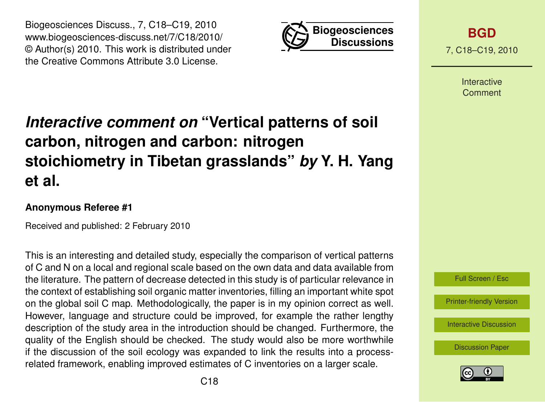



**[BGD](http://www.biogeosciences-discuss.net)** 7, C18–C19, 2010

> Interactive **Comment**

## *Interactive comment on* **"Vertical patterns of soil carbon, nitrogen and carbon: nitrogen stoichiometry in Tibetan grasslands"** *by* **Y. H. Yang et al.**

## **Anonymous Referee #1**

Received and published: 2 February 2010

This is an interesting and detailed study, especially the comparison of vertical patterns of C and N on a local and regional scale based on the own data and data available from the literature. The pattern of decrease detected in this study is of particular relevance in the context of establishing soil organic matter inventories, filling an important white spot on the global soil C map. Methodologically, the paper is in my opinion correct as well. However, language and structure could be improved, for example the rather lengthy description of the study area in the introduction should be changed. Furthermore, the quality of the English should be checked. The study would also be more worthwhile if the discussion of the soil ecology was expanded to link the results into a processrelated framework, enabling improved estimates of C inventories on a larger scale.